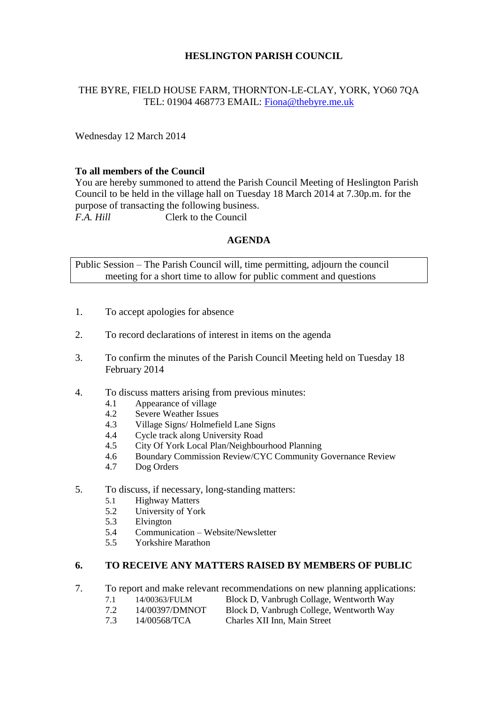# **HESLINGTON PARISH COUNCIL**

# THE BYRE, FIELD HOUSE FARM, THORNTON-LE-CLAY, YORK, YO60 7QA TEL: 01904 468773 EMAIL: [Fiona@thebyre.me.uk](mailto:Fiona@thebyre.me.uk)

Wednesday 12 March 2014

## **To all members of the Council**

You are hereby summoned to attend the Parish Council Meeting of Heslington Parish Council to be held in the village hall on Tuesday 18 March 2014 at 7.30p.m. for the purpose of transacting the following business. *F.A. Hill* Clerk to the Council

### **AGENDA**

Public Session – The Parish Council will, time permitting, adjourn the council meeting for a short time to allow for public comment and questions

- 1. To accept apologies for absence
- 2. To record declarations of interest in items on the agenda
- 3. To confirm the minutes of the Parish Council Meeting held on Tuesday 18 February 2014
- 4. To discuss matters arising from previous minutes:
	- 4.1 Appearance of village
	- 4.2 Severe Weather Issues
	- 4.3 Village Signs/ Holmefield Lane Signs
	- 4.4 Cycle track along University Road
	- 4.5 City Of York Local Plan/Neighbourhood Planning
	- 4.6 Boundary Commission Review/CYC Community Governance Review
	- 4.7 Dog Orders
- 5. To discuss, if necessary, long-standing matters:
	- 5.1 Highway Matters
	- 5.2 University of York
	- 5.3 Elvington
	- 5.4 Communication Website/Newsletter
	- 5.5 Yorkshire Marathon

## **6. TO RECEIVE ANY MATTERS RAISED BY MEMBERS OF PUBLIC**

- 7. To report and make relevant recommendations on new planning applications:
	- 7.1 14/00363/FULM Block D, Vanbrugh Collage, Wentworth Way
	- 7.2 14/00397/DMNOT Block D, Vanbrugh College, Wentworth Way
	- 7.3 14/00568/TCA Charles XII Inn, Main Street